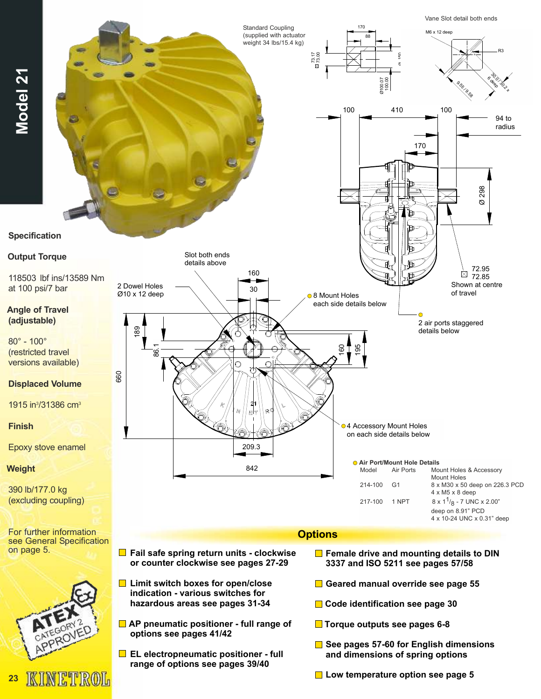# **Model 21**



**EL electropneumatic positioner - full range of options see pages 39/40**

**Low temperature option see page 5**

**and dimensions of spring options**

**23**

KINETROL